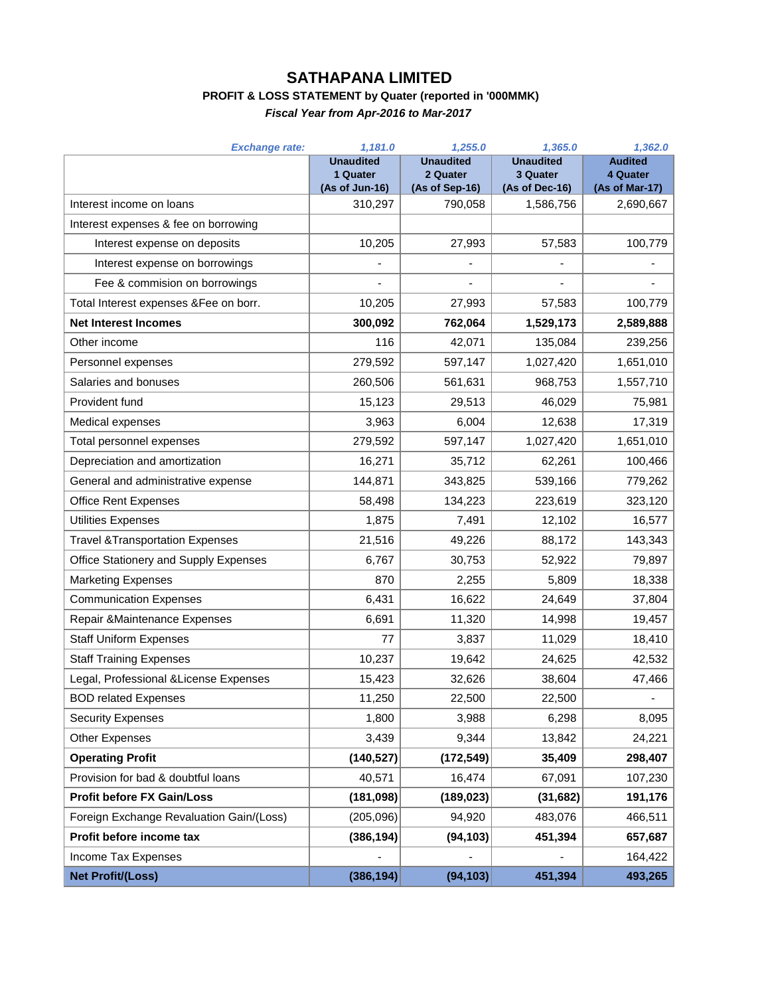## **SATHAPANA LIMITED**

## **PROFIT & LOSS STATEMENT by Quater (reported in '000MMK)**

*Fiscal Year from Apr-2016 to Mar-2017*

| <b>Exchange rate:</b>                      | 1,181.0                      | 1,255.0                      | 1,365.0                      | 1,362.0                    |
|--------------------------------------------|------------------------------|------------------------------|------------------------------|----------------------------|
|                                            | <b>Unaudited</b><br>1 Quater | <b>Unaudited</b><br>2 Quater | <b>Unaudited</b><br>3 Quater | <b>Audited</b><br>4 Quater |
|                                            | (As of Jun-16)               | (As of Sep-16)               | (As of Dec-16)               | (As of Mar-17)             |
| Interest income on loans                   | 310,297                      | 790,058                      | 1,586,756                    | 2,690,667                  |
| Interest expenses & fee on borrowing       |                              |                              |                              |                            |
| Interest expense on deposits               | 10,205                       | 27,993                       | 57,583                       | 100,779                    |
| Interest expense on borrowings             | $\blacksquare$               |                              |                              |                            |
| Fee & commision on borrowings              |                              |                              |                              |                            |
| Total Interest expenses &Fee on borr.      | 10,205                       | 27,993                       | 57,583                       | 100,779                    |
| <b>Net Interest Incomes</b>                | 300,092                      | 762,064                      | 1,529,173                    | 2,589,888                  |
| Other income                               | 116                          | 42,071                       | 135,084                      | 239,256                    |
| Personnel expenses                         | 279,592                      | 597,147                      | 1,027,420                    | 1,651,010                  |
| Salaries and bonuses                       | 260,506                      | 561,631                      | 968,753                      | 1,557,710                  |
| Provident fund                             | 15,123                       | 29,513                       | 46,029                       | 75,981                     |
| Medical expenses                           | 3,963                        | 6,004                        | 12,638                       | 17,319                     |
| Total personnel expenses                   | 279,592                      | 597,147                      | 1,027,420                    | 1,651,010                  |
| Depreciation and amortization              | 16,271                       | 35,712                       | 62,261                       | 100,466                    |
| General and administrative expense         | 144,871                      | 343,825                      | 539,166                      | 779,262                    |
| <b>Office Rent Expenses</b>                | 58,498                       | 134,223                      | 223,619                      | 323,120                    |
| Utilities Expenses                         | 1,875                        | 7,491                        | 12,102                       | 16,577                     |
| <b>Travel &amp;Transportation Expenses</b> | 21,516                       | 49,226                       | 88,172                       | 143,343                    |
| Office Stationery and Supply Expenses      | 6,767                        | 30,753                       | 52,922                       | 79,897                     |
| <b>Marketing Expenses</b>                  | 870                          | 2,255                        | 5,809                        | 18,338                     |
| <b>Communication Expenses</b>              | 6,431                        | 16,622                       | 24,649                       | 37,804                     |
| Repair & Maintenance Expenses              | 6,691                        | 11,320                       | 14,998                       | 19,457                     |
| <b>Staff Uniform Expenses</b>              | 77                           | 3,837                        | 11,029                       | 18,410                     |
| <b>Staff Training Expenses</b>             | 10,237                       | 19,642                       | 24,625                       | 42,532                     |
| Legal, Professional & License Expenses     | 15,423                       | 32,626                       | 38,604                       | 47,466                     |
| <b>BOD related Expenses</b>                | 11,250                       | 22,500                       | 22,500                       |                            |
| <b>Security Expenses</b>                   | 1,800                        | 3,988                        | 6,298                        | 8,095                      |
| <b>Other Expenses</b>                      | 3,439                        | 9,344                        | 13,842                       | 24,221                     |
| <b>Operating Profit</b>                    | (140, 527)                   | (172, 549)                   | 35,409                       | 298,407                    |
| Provision for bad & doubtful loans         | 40,571                       | 16,474                       | 67,091                       | 107,230                    |
| <b>Profit before FX Gain/Loss</b>          | (181, 098)                   | (189, 023)                   | (31, 682)                    | 191,176                    |
| Foreign Exchange Revaluation Gain/(Loss)   | (205, 096)                   | 94,920                       | 483,076                      | 466,511                    |
| Profit before income tax                   | (386, 194)                   | (94, 103)                    | 451,394                      | 657,687                    |
| Income Tax Expenses                        |                              |                              |                              | 164,422                    |
| <b>Net Profit/(Loss)</b>                   | (386, 194)                   | (94, 103)                    | 451,394                      | 493,265                    |